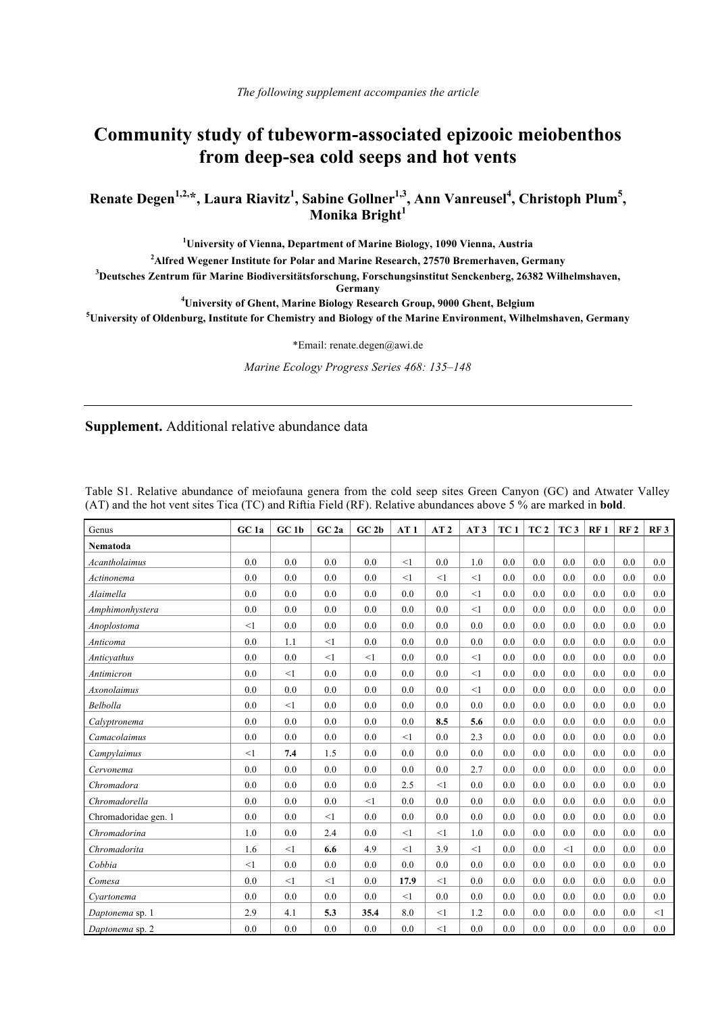## **Community study of tubeworm-associated epizooic meiobenthos from deep-sea cold seeps and hot vents**

 $\kappa$ enate Degen<sup>1,2,\*</sup>, Laura Riavitz<sup>1</sup>, Sabine Gollner<sup>1,3</sup>, Ann Vanreusel<sup>4</sup>, Christoph Plum<sup>5</sup>, **Monika Bright**<sup>1</sup>

**1 University of Vienna, Department of Marine Biology, 1090 Vienna, Austria** 

<sup>2</sup> Alfred Wegener Institute for Polar and Marine Research, 27570 Bremerhaven, Germany<br><sup>3</sup> Deutsches Zentrum für Marine Biodiversitätsforschung, Forschungsinstitut Senskophers, 26382 Wilh

**Deutsches Zentrum für Marine Biodiversitätsforschung, Forschungsinstitut Senckenberg, 26382 Wilhelmshaven,** 

**Germany**<br><sup>4</sup>University of Chent, Marine Biology Besse **University of Ghent, Marine Biology Research Group, 9000 Ghent, Belgium 5**

**University of Oldenburg, Institute for Chemistry and Biology of the Marine Environment, Wilhelmshaven, Germany** 

\*Email: renate.degen@awi.de

*Marine Ecology Progress Series 468: 135–148* 

## **Supplement.** Additional relative abundance data

| Genus                | GC <sub>1a</sub> | GC1b | GC <sub>2a</sub> | GC2b | AT1  | AT <sub>2</sub> | AT <sub>3</sub> | TC <sub>1</sub> | TC <sub>2</sub> | TC <sub>3</sub> | RF1 | RF <sub>2</sub> | RF3 |
|----------------------|------------------|------|------------------|------|------|-----------------|-----------------|-----------------|-----------------|-----------------|-----|-----------------|-----|
| Nematoda             |                  |      |                  |      |      |                 |                 |                 |                 |                 |     |                 |     |
|                      |                  |      |                  |      |      |                 |                 |                 |                 |                 |     |                 |     |
| <b>Acantholaimus</b> | 0.0              | 0.0  | 0.0              | 0.0  | <1   | 0.0             | 1.0             | 0.0             | 0.0             | 0.0             | 0.0 | 0.0             | 0.0 |
| Actinonema           | 0.0              | 0.0  | 0.0              | 0.0  | <1   | <1              | <1              | 0.0             | 0.0             | 0.0             | 0.0 | 0.0             | 0.0 |
| Alaimella            | 0.0              | 0.0  | 0.0              | 0.0  | 0.0  | 0.0             | <1              | 0.0             | 0.0             | 0.0             | 0.0 | 0.0             | 0.0 |
| Amphimonhystera      | 0.0              | 0.0  | 0.0              | 0.0  | 0.0  | 0.0             | <1              | 0.0             | 0.0             | 0.0             | 0.0 | 0.0             | 0.0 |
| Anoplostoma          | <1               | 0.0  | 0.0              | 0.0  | 0.0  | 0.0             | 0.0             | 0.0             | 0.0             | 0.0             | 0.0 | 0.0             | 0.0 |
| Anticoma             | 0.0              | 1.1  | <1               | 0.0  | 0.0  | 0.0             | 0.0             | 0.0             | 0.0             | 0.0             | 0.0 | 0.0             | 0.0 |
| Anticvathus          | 0.0              | 0.0  | <1               | <1   | 0.0  | 0.0             | <1              | 0.0             | 0.0             | 0.0             | 0.0 | 0.0             | 0.0 |
| Antimicron           | 0.0              | <1   | 0.0              | 0.0  | 0.0  | 0.0             | <1              | 0.0             | 0.0             | 0.0             | 0.0 | 0.0             | 0.0 |
| Axonolaimus          | 0.0              | 0.0  | 0.0              | 0.0  | 0.0  | 0.0             | <1              | 0.0             | 0.0             | 0.0             | 0.0 | 0.0             | 0.0 |
| Belbolla             | 0.0              | <1   | 0.0              | 0.0  | 0.0  | 0.0             | 0.0             | 0.0             | 0.0             | 0.0             | 0.0 | 0.0             | 0.0 |
| Calvptronema         | 0.0              | 0.0  | 0.0              | 0.0  | 0.0  | 8.5             | 5.6             | 0.0             | 0.0             | 0.0             | 0.0 | 0.0             | 0.0 |
| Camacolaimus         | 0.0              | 0.0  | 0.0              | 0.0  | <1   | 0.0             | 2.3             | 0.0             | 0.0             | 0.0             | 0.0 | 0.0             | 0.0 |
| Campylaimus          | <1               | 7.4  | 1.5              | 0.0  | 0.0  | 0.0             | 0.0             | 0.0             | 0.0             | 0.0             | 0.0 | 0.0             | 0.0 |
| Cervonema            | 0.0              | 0.0  | 0.0              | 0.0  | 0.0  | 0.0             | 2.7             | 0.0             | 0.0             | 0.0             | 0.0 | 0.0             | 0.0 |
| Chromadora           | 0.0              | 0.0  | 0.0              | 0.0  | 2.5  | <1              | 0.0             | 0.0             | 0.0             | 0.0             | 0.0 | 0.0             | 0.0 |
| Chromadorella        | 0.0              | 0.0  | 0.0              | <1   | 0.0  | 0.0             | 0.0             | 0.0             | 0.0             | 0.0             | 0.0 | 0.0             | 0.0 |
| Chromadoridae gen. 1 | 0.0              | 0.0  | <1               | 0.0  | 0.0  | 0.0             | 0.0             | 0.0             | 0.0             | 0.0             | 0.0 | 0.0             | 0.0 |
| Chromadorina         | 1.0              | 0.0  | 2.4              | 0.0  | <1   | <1              | 1.0             | 0.0             | 0.0             | 0.0             | 0.0 | 0.0             | 0.0 |
| Chromadorita         | 1.6              | <1   | 6.6              | 4.9  | <1   | 3.9             | <1              | 0.0             | 0.0             | <1              | 0.0 | 0.0             | 0.0 |
| Cobbia               | <1               | 0.0  | 0.0              | 0.0  | 0.0  | 0.0             | 0.0             | 0.0             | 0.0             | 0.0             | 0.0 | 0.0             | 0.0 |
| Comesa               | 0.0              | <1   | <1               | 0.0  | 17.9 | <1              | 0.0             | 0.0             | 0.0             | 0.0             | 0.0 | 0.0             | 0.0 |
| Cvartonema           | 0.0              | 0.0  | 0.0              | 0.0  | <1   | 0.0             | 0.0             | 0.0             | 0.0             | 0.0             | 0.0 | 0.0             | 0.0 |
| Daptonema sp. 1      | 2.9              | 4.1  | 5.3              | 35.4 | 8.0  | <1              | 1.2             | 0.0             | 0.0             | 0.0             | 0.0 | 0.0             | <1  |
| Daptonema sp. 2      | 0.0              | 0.0  | 0.0              | 0.0  | 0.0  | $<$ 1           | 0.0             | 0.0             | 0.0             | 0.0             | 0.0 | 0.0             | 0.0 |

Table S1. Relative abundance of meiofauna genera from the cold seep sites Green Canyon (GC) and Atwater Valley (AT) and the hot vent sites Tica (TC) and Riftia Field (RF). Relative abundances above 5 % are marked in **bold**.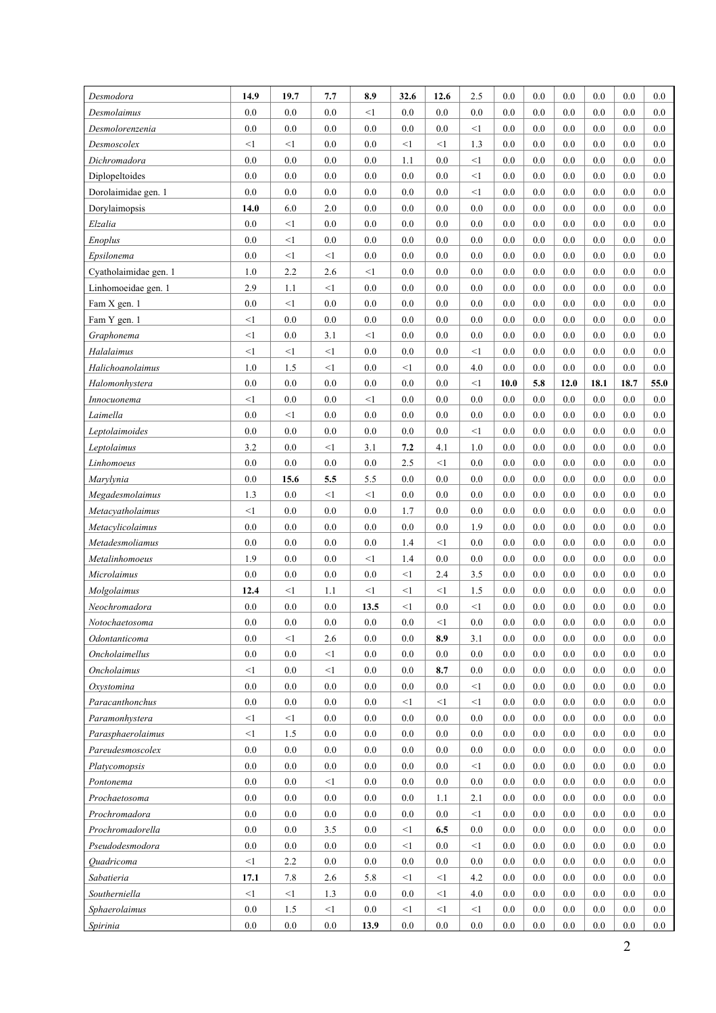| Desmodora             | 14.9     | 19.7    | 7.7       | 8.9      | 32.6    | 12.6    | 2.5      | 0.0     | 0.0     | 0.0     | 0.0     | 0.0  | 0.0     |
|-----------------------|----------|---------|-----------|----------|---------|---------|----------|---------|---------|---------|---------|------|---------|
| Desmolaimus           | 0.0      | 0.0     | 0.0       | $<$ 1    | 0.0     | 0.0     | 0.0      | 0.0     | 0.0     | 0.0     | 0.0     | 0.0  | 0.0     |
| Desmolorenzenia       | 0.0      | 0.0     | 0.0       | 0.0      | 0.0     | 0.0     | $<$ 1    | 0.0     | 0.0     | 0.0     | 0.0     | 0.0  | 0.0     |
| Desmoscolex           | $<$ 1    | $<$ 1   | 0.0       | 0.0      | $<$ 1   | $<$ 1   | 1.3      | 0.0     | 0.0     | 0.0     | 0.0     | 0.0  | 0.0     |
| Dichromadora          | 0.0      | 0.0     | 0.0       | 0.0      | 1.1     | 0.0     | $<$ 1    | 0.0     | 0.0     | 0.0     | 0.0     | 0.0  | 0.0     |
| Diplopeltoides        | 0.0      | 0.0     | 0.0       | 0.0      | 0.0     | 0.0     | $<$ 1    | 0.0     | 0.0     | 0.0     | 0.0     | 0.0  | 0.0     |
| Dorolaimidae gen. 1   | 0.0      | 0.0     | 0.0       | 0.0      | 0.0     | 0.0     | $<$ 1    | 0.0     | 0.0     | 0.0     | 0.0     | 0.0  | 0.0     |
| Dorylaimopsis         | 14.0     | 6.0     | 2.0       | 0.0      | 0.0     | 0.0     | 0.0      | 0.0     | 0.0     | 0.0     | 0.0     | 0.0  | 0.0     |
| Elzalia               | 0.0      | $<$ l   | 0.0       | 0.0      | 0.0     | 0.0     | 0.0      | 0.0     | 0.0     | 0.0     | 0.0     | 0.0  | 0.0     |
| Enoplus               | 0.0      | $<$ l   | 0.0       | 0.0      | 0.0     | 0.0     | 0.0      | 0.0     | 0.0     | 0.0     | 0.0     | 0.0  | 0.0     |
| Epsilonema            | 0.0      | $<$ l   | $<$ 1     | 0.0      | 0.0     | 0.0     | 0.0      | 0.0     | 0.0     | 0.0     | 0.0     | 0.0  | 0.0     |
| Cyatholaimidae gen. 1 | 1.0      | 2.2     | 2.6       | $<$ 1    | 0.0     | 0.0     | 0.0      | 0.0     | 0.0     | 0.0     | 0.0     | 0.0  | 0.0     |
| Linhomoeidae gen. 1   | 2.9      | 1.1     | $<$ 1     | 0.0      | 0.0     | 0.0     | 0.0      | 0.0     | 0.0     | 0.0     | 0.0     | 0.0  | 0.0     |
| Fam X gen. 1          | 0.0      | $<$ l   | 0.0       | 0.0      | 0.0     | 0.0     | 0.0      | 0.0     | 0.0     | 0.0     | 0.0     | 0.0  | 0.0     |
| Fam Y gen. 1          | $<$ 1    | $0.0\,$ | 0.0       | 0.0      | 0.0     | 0.0     | 0.0      | 0.0     | 0.0     | 0.0     | 0.0     | 0.0  | 0.0     |
| Graphonema            | $<$ 1    | 0.0     | 3.1       | $<$ 1    | 0.0     | 0.0     | 0.0      | 0.0     | 0.0     | 0.0     | 0.0     | 0.0  | 0.0     |
| Halalaimus            | $\leq$ 1 | $<$ l   | $<$ 1     | 0.0      | 0.0     | 0.0     | $<$ 1    | 0.0     | 0.0     | 0.0     | 0.0     | 0.0  | 0.0     |
| Halichoanolaimus      | 1.0      | 1.5     | $<$ 1     | 0.0      | $<$ 1   | 0.0     | 4.0      | 0.0     | 0.0     | 0.0     | 0.0     | 0.0  | 0.0     |
| Halomonhystera        | 0.0      | 0.0     | 0.0       | $_{0.0}$ | 0.0     | 0.0     | $<$ 1    | 10.0    | 5.8     | 12.0    | 18.1    | 18.7 | 55.0    |
| Innocuonema           | $<$ 1    | 0.0     | 0.0       | $<$ l    | 0.0     | 0.0     | 0.0      | 0.0     | 0.0     | 0.0     | 0.0     | 0.0  | $0.0\,$ |
| Laimella              | 0.0      | $<$ l   | 0.0       | 0.0      | 0.0     | 0.0     | 0.0      | 0.0     | 0.0     | 0.0     | 0.0     | 0.0  | 0.0     |
| Leptolaimoides        | 0.0      | 0.0     | 0.0       | 0.0      | 0.0     | 0.0     | $<$ 1    | 0.0     | 0.0     | 0.0     | 0.0     | 0.0  | 0.0     |
| Leptolaimus           | 3.2      | 0.0     | $<$ 1     | 3.1      | 7.2     | 4.1     | 1.0      | 0.0     | 0.0     | 0.0     | 0.0     | 0.0  | 0.0     |
| Linhomoeus            | 0.0      | 0.0     | 0.0       | 0.0      | 2.5     | $<$ 1   | 0.0      | 0.0     | 0.0     | 0.0     | 0.0     | 0.0  | 0.0     |
| Marylynia             | 0.0      | 15.6    | 5.5       | 5.5      | 0.0     | 0.0     | 0.0      | 0.0     | 0.0     | 0.0     | 0.0     | 0.0  | $0.0\,$ |
| Megadesmolaimus       | 1.3      | 0.0     | $\leq$ 1  | <1       | 0.0     | 0.0     | 0.0      | 0.0     | 0.0     | 0.0     | 0.0     | 0.0  | 0.0     |
| Metacyatholaimus      | $<$ 1    | 0.0     | 0.0       | 0.0      | 1.7     | 0.0     | 0.0      | 0.0     | 0.0     | 0.0     | 0.0     | 0.0  | 0.0     |
| Metacylicolaimus      | 0.0      | 0.0     | 0.0       | 0.0      | 0.0     | 0.0     | 1.9      | 0.0     | 0.0     | 0.0     | 0.0     | 0.0  | 0.0     |
| Metadesmoliamus       | 0.0      | 0.0     | 0.0       | 0.0      | 1.4     | $<$ l   | 0.0      | 0.0     | 0.0     | 0.0     | 0.0     | 0.0  | 0.0     |
| Metalinhomoeus        | 1.9      | 0.0     | 0.0       | $<$ l    | 1.4     | 0.0     | 0.0      | 0.0     | 0.0     | 0.0     | 0.0     | 0.0  | 0.0     |
| Microlaimus           | 0.0      | 0.0     | 0.0       | 0.0      | <1      | 2.4     | 3.5      | 0.0     | 0.0     | 0.0     | 0.0     | 0.0  | 0.0     |
| Molgolaimus           | 12.4     | $<$ l   | 1.1       | $<$ l    | $<$ 1   | $<$ l   | 1.5      | 0.0     | 0.0     | 0.0     | 0.0     | 0.0  | 0.0     |
| Neochromadora         | 0.0      | 0.0     | 0.0       | 13.5     | $<$ 1   | 0.0     | $<$ 1    | 0.0     | 0.0     | 0.0     | 0.0     | 0.0  | 0.0     |
| Notochaetosoma        | $0.0\,$  | $0.0\,$ | 0.0       | $0.0\,$  | 0.0     | $<$ l   | 0.0      | $0.0\,$ | 0.0     | $0.0\,$ | 0.0     | 0.0  | $0.0\,$ |
| Odontanticoma         | 0.0      | $<$ l   | 2.6       | 0.0      | 0.0     | 8.9     | 3.1      | 0.0     | 0.0     | 0.0     | 0.0     | 0.0  | 0.0     |
| Oncholaimellus        | 0.0      | 0.0     | <1        | 0.0      | 0.0     | 0.0     | 0.0      | 0.0     | 0.0     | 0.0     | 0.0     | 0.0  | $0.0\,$ |
| <b>Oncholaimus</b>    | $<\!\!1$ | 0.0     | $<$ 1     | 0.0      | 0.0     | 8.7     | 0.0      | 0.0     | 0.0     | 0.0     | 0.0     | 0.0  | $0.0\,$ |
| Oxystomina            | 0.0      | 0.0     | 0.0       | $0.0\,$  | 0.0     | 0.0     | <1       | 0.0     | 0.0     | 0.0     | 0.0     | 0.0  | $0.0\,$ |
| Paracanthonchus       | 0.0      | 0.0     | $0.0\,$   | 0.0      | <1      | $<$ 1   | $<$ 1    | 0.0     | 0.0     | 0.0     | 0.0     | 0.0  | 0.0     |
| Paramonhystera        | <1       | <1      | 0.0       | 0.0      | 0.0     | 0.0     | 0.0      | 0.0     | 0.0     | 0.0     | 0.0     | 0.0  | 0.0     |
| Parasphaerolaimus     | $\leq$ 1 | 1.5     | 0.0       | 0.0      | 0.0     | 0.0     | 0.0      | 0.0     | 0.0     | 0.0     | 0.0     | 0.0  | 0.0     |
| Pareudesmoscolex      | 0.0      | 0.0     | 0.0       | $0.0\,$  | 0.0     | 0.0     | 0.0      | 0.0     | 0.0     | 0.0     | 0.0     | 0.0  | $0.0\,$ |
| Platycomopsis         | $0.0\,$  | 0.0     | 0.0       | $0.0\,$  | 0.0     | 0.0     | $\leq$ 1 | 0.0     | 0.0     | 0.0     | 0.0     | 0.0  | 0.0     |
| Pontonema             | 0.0      | 0.0     | $\leq$ 1  | 0.0      | 0.0     | $0.0\,$ | 0.0      | 0.0     | 0.0     | 0.0     | 0.0     | 0.0  | 0.0     |
| Prochaetosoma         | 0.0      | 0.0     | 0.0       | 0.0      | 0.0     | 1.1     | 2.1      | 0.0     | 0.0     | 0.0     | 0.0     | 0.0  | 0.0     |
| Prochromadora         | 0.0      | 0.0     | 0.0       | 0.0      | 0.0     | 0.0     | <1       | 0.0     | 0.0     | 0.0     | 0.0     | 0.0  | 0.0     |
| Prochromadorella      | 0.0      | 0.0     | 3.5       | $0.0\,$  | $<\!1$  | 6.5     | 0.0      | 0.0     | 0.0     | 0.0     | 0.0     | 0.0  | $0.0\,$ |
| Pseudodesmodora       | $0.0\,$  | 0.0     | 0.0       | $0.0\,$  | <1      | 0.0     | $<$ 1    | 0.0     | 0.0     | 0.0     | 0.0     | 0.0  | 0.0     |
| Ouadricoma            | $<\!\!1$ | 2.2     | 0.0       | 0.0      | 0.0     | 0.0     | 0.0      | 0.0     | 0.0     | 0.0     | 0.0     | 0.0  | 0.0     |
| Sabatieria            | 17.1     | 7.8     | 2.6       | 5.8      | $<$ 1   | $<$ 1   | 4.2      | 0.0     | 0.0     | 0.0     | 0.0     | 0.0  | 0.0     |
| Southerniella         | $<$ 1    | $<$ 1   | 1.3       | 0.0      | 0.0     | $<$ l   | 4.0      | 0.0     | 0.0     | 0.0     | 0.0     | 0.0  | $0.0\,$ |
| Sphaerolaimus         | $0.0\,$  | 1.5     | $<$ $\!1$ | 0.0      | $<1\,$  | $<$ 1   | $<$ 1    | 0.0     | 0.0     | 0.0     | 0.0     | 0.0  | $0.0\,$ |
| Spirinia              | 0.0      | 0.0     | 0.0       | 13.9     | $0.0\,$ | 0.0     | 0.0      | 0.0     | $0.0\,$ | 0.0     | $0.0\,$ | 0.0  | $0.0\,$ |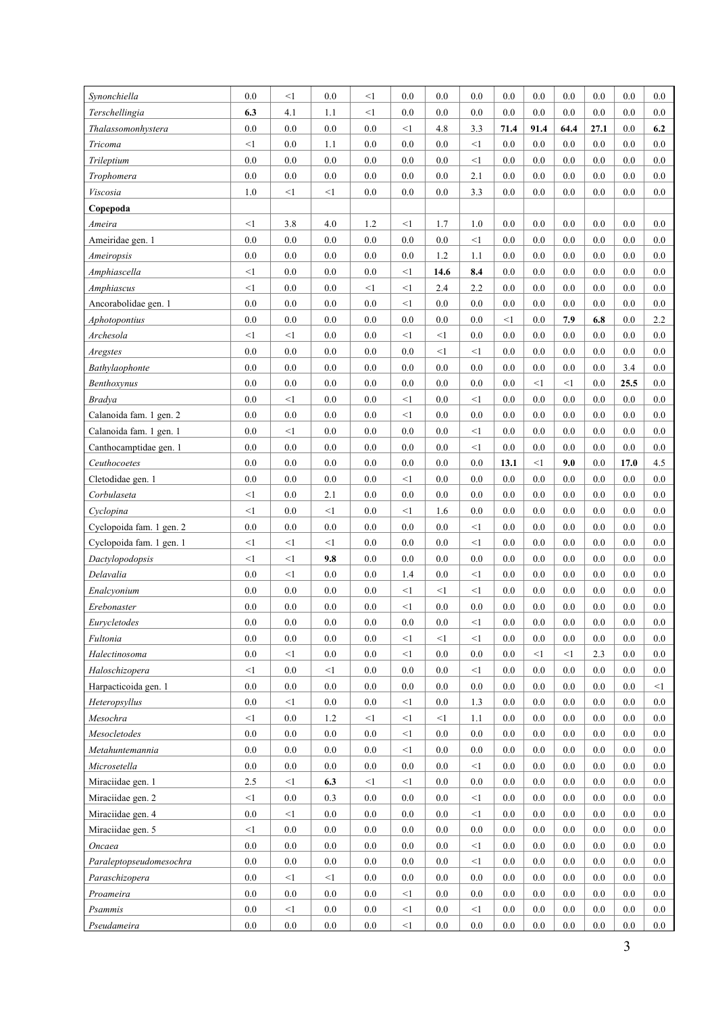| Synonchiella             | 0.0      | $<$ 1   | 0.0     | $<$ l   | 0.0      | 0.0      | $0.0\,$ | 0.0     | 0.0     | 0.0     | 0.0     | 0.0     | 0.0     |
|--------------------------|----------|---------|---------|---------|----------|----------|---------|---------|---------|---------|---------|---------|---------|
| Terschellingia           | 6.3      | 4.1     | 1.1     | $<$ 1   | 0.0      | 0.0      | 0.0     | 0.0     | 0.0     | 0.0     | 0.0     | 0.0     | 0.0     |
| Thalassomonhystera       | 0.0      | 0.0     | 0.0     | 0.0     | $<$ 1    | 4.8      | 3.3     | 71.4    | 91.4    | 64.4    | 27.1    | 0.0     | 6.2     |
| Tricoma                  | $<$ 1    | 0.0     | 1.1     | 0.0     | 0.0      | 0.0      | $<$ 1   | 0.0     | 0.0     | 0.0     | 0.0     | 0.0     | 0.0     |
| Trileptium               | 0.0      | 0.0     | 0.0     | 0.0     | 0.0      | 0.0      | $<$ 1   | 0.0     | 0.0     | 0.0     | 0.0     | 0.0     | 0.0     |
| Trophomera               | 0.0      | 0.0     | 0.0     | 0.0     | 0.0      | 0.0      | 2.1     | 0.0     | 0.0     | 0.0     | 0.0     | 0.0     | 0.0     |
| Viscosia                 | 1.0      | $<$ 1   | $<$ l   | 0.0     | 0.0      | 0.0      | 3.3     | 0.0     | 0.0     | 0.0     | 0.0     | 0.0     | 0.0     |
| Copepoda                 |          |         |         |         |          |          |         |         |         |         |         |         |         |
| Ameira                   | $<$ 1    | 3.8     | 4.0     | 1.2     | <1       | 1.7      | 1.0     | 0.0     | 0.0     | 0.0     | 0.0     | 0.0     | 0.0     |
| Ameiridae gen. 1         | 0.0      | 0.0     | 0.0     | 0.0     | 0.0      | 0.0      | $<$ 1   | 0.0     | 0.0     | 0.0     | 0.0     | 0.0     | 0.0     |
| Ameiropsis               | 0.0      | 0.0     | 0.0     | 0.0     | 0.0      | 1.2      | 1.1     | 0.0     | 0.0     | 0.0     | 0.0     | 0.0     | 0.0     |
| Amphiascella             | $<$ 1    | 0.0     | 0.0     | 0.0     | $<$ 1    | 14.6     | 8.4     | 0.0     | 0.0     | 0.0     | 0.0     | 0.0     | 0.0     |
| Amphiascus               | $<$ 1    | 0.0     | 0.0     | $<$ l   | $<$ 1    | 2.4      | 2.2     | 0.0     | 0.0     | 0.0     | 0.0     | 0.0     | 0.0     |
| Ancorabolidae gen. 1     | 0.0      | 0.0     | 0.0     | 0.0     | <1       | 0.0      | 0.0     | 0.0     | 0.0     | 0.0     | 0.0     | 0.0     | 0.0     |
| <b>Aphotopontius</b>     | 0.0      | $0.0\,$ | 0.0     | 0.0     | 0.0      | 0.0      | 0.0     | <1      | 0.0     | 7.9     | 6.8     | 0.0     | 2.2     |
| Archesola                | <1       | $<$ 1   | 0.0     | 0.0     | <1       | $\leq$ 1 | 0.0     | 0.0     | 0.0     | 0.0     | 0.0     | 0.0     | 0.0     |
| Aregstes                 | 0.0      | 0.0     | 0.0     | 0.0     | 0.0      | $\leq$ 1 | $<$ 1   | 0.0     | 0.0     | 0.0     | 0.0     | 0.0     | 0.0     |
| Bathylaophonte           | 0.0      | 0.0     | 0.0     | 0.0     | 0.0      | 0.0      | 0.0     | 0.0     | 0.0     | 0.0     | 0.0     | 3.4     | 0.0     |
| Benthoxynus              | 0.0      | 0.0     | 0.0     | 0.0     | 0.0      | 0.0      | 0.0     | 0.0     | <1      | $<$ 1   | 0.0     | 25.5    | 0.0     |
| <b>Bradya</b>            | 0.0      | $<$ 1   | 0.0     | 0.0     | $<$ 1    | 0.0      | $<$ 1   | 0.0     | 0.0     | 0.0     | 0.0     | 0.0     | 0.0     |
| Calanoida fam. 1 gen. 2  | 0.0      | 0.0     | 0.0     | 0.0     | <1       | 0.0      | 0.0     | 0.0     | 0.0     | 0.0     | 0.0     | 0.0     | 0.0     |
| Calanoida fam. 1 gen. 1  | 0.0      | $<$ 1   | 0.0     | 0.0     | 0.0      | 0.0      | $<$ 1   | 0.0     | 0.0     | 0.0     | 0.0     | 0.0     | 0.0     |
| Canthocamptidae gen. 1   | 0.0      | 0.0     | 0.0     | 0.0     | 0.0      | 0.0      | $<$ 1   | 0.0     | 0.0     | 0.0     | 0.0     | 0.0     | 0.0     |
| Ceuthocoetes             | 0.0      | 0.0     | 0.0     | 0.0     | 0.0      | 0.0      | 0.0     | 13.1    | <1      | 9.0     | 0.0     | 17.0    | 4.5     |
| Cletodidae gen. 1        | 0.0      | 0.0     | 0.0     | 0.0     | <1       | 0.0      | $0.0\,$ | 0.0     | 0.0     | 0.0     | 0.0     | 0.0     | 0.0     |
| Corbulaseta              | $<$ 1    | 0.0     | 2.1     | 0.0     | 0.0      | 0.0      | 0.0     | 0.0     | 0.0     | 0.0     | 0.0     | 0.0     | 0.0     |
| Cyclopina                | $\leq$ 1 | 0.0     | <1      | 0.0     | $<$ 1    | 1.6      | $0.0\,$ | 0.0     | 0.0     | 0.0     | 0.0     | 0.0     | 0.0     |
| Cyclopoida fam. 1 gen. 2 | 0.0      | 0.0     | 0.0     | 0.0     | 0.0      | 0.0      | $<$ 1   | 0.0     | 0.0     | 0.0     | 0.0     | 0.0     | 0.0     |
| Cyclopoida fam. 1 gen. 1 | $<$ 1    | $<$ 1   | $<$ 1   | 0.0     | 0.0      | 0.0      | $<$ 1   | 0.0     | 0.0     | 0.0     | 0.0     | 0.0     | 0.0     |
| Dactylopodopsis          | $\leq$ 1 | $<$ 1   | 9.8     | 0.0     | 0.0      | 0.0      | 0.0     | 0.0     | 0.0     | 0.0     | 0.0     | 0.0     | 0.0     |
| Delavalia                | 0.0      | $<$ 1   | 0.0     | 0.0     | 1.4      | 0.0      | $<$ 1   | 0.0     | 0.0     | 0.0     | 0.0     | 0.0     | 0.0     |
| Enalcyonium              | 0.0      | 0.0     | 0.0     | 0.0     | $<$ 1    | $<$ 1    | $<$ 1   | 0.0     | 0.0     | 0.0     | 0.0     | 0.0     | 0.0     |
| Erebonaster              | 0.0      | 0.0     | 0.0     | 0.0     | $<$ 1    | 0.0      | 0.0     | 0.0     | 0.0     | 0.0     | 0.0     | 0.0     | 0.0     |
| Eurycletodes             | 0.0      | $0.0\,$ | 0.0     | 0.0     | 0.0      | 0.0      | $<$ l   | 0.0     | 0.0     | $0.0\,$ | 0.0     | $0.0\,$ | $0.0\,$ |
| Fultonia                 | 0.0      | 0.0     | 0.0     | 0.0     | <1       | $<$ 1    | $<$ 1   | 0.0     | 0.0     | 0.0     | 0.0     | 0.0     | 0.0     |
| Halectinosoma            | 0.0      | $<$ 1   | 0.0     | 0.0     | <1       | 0.0      | 0.0     | 0.0     | $<$ 1   | <1      | 2.3     | 0.0     | 0.0     |
| Haloschizopera           | $<\!\!1$ | 0.0     | $<$ 1   | 0.0     | 0.0      | $0.0\,$  | $<1\,$  | 0.0     | 0.0     | 0.0     | $0.0\,$ | 0.0     | 0.0     |
| Harpacticoida gen. 1     | 0.0      | 0.0     | 0.0     | 0.0     | 0.0      | $0.0\,$  | 0.0     | 0.0     | 0.0     | $0.0\,$ | 0.0     | 0.0     | $<$ 1   |
| Heteropsyllus            | 0.0      | $<$ 1   | $0.0\,$ | 0.0     | $<\!\!1$ | $0.0\,$  | 1.3     | $0.0\,$ | 0.0     | 0.0     | $0.0\,$ | 0.0     | 0.0     |
| Mesochra                 | <1       | 0.0     | $1.2\,$ | <1      | $<1\,$   | $<1\,$   | 1.1     | 0.0     | $0.0\,$ | 0.0     | $0.0\,$ | 0.0     | 0.0     |
| Mesocletodes             | 0.0      | 0.0     | $0.0\,$ | 0.0     | $<\!\!1$ | $0.0\,$  | 0.0     | 0.0     | $0.0\,$ | 0.0     | 0.0     | 0.0     | 0.0     |
| Metahuntemannia          | 0.0      | 0.0     | 0.0     | 0.0     | $<\!\!1$ | 0.0      | 0.0     | 0.0     | 0.0     | 0.0     | 0.0     | 0.0     | $0.0\,$ |
| Microsetella             | 0.0      | 0.0     | 0.0     | $0.0\,$ | 0.0      | 0.0      | <1      | 0.0     | 0.0     | 0.0     | 0.0     | 0.0     | 0.0     |
| Miraciidae gen. 1        | 2.5      | $<$ 1   | 6.3     | <1      | <1       | $0.0\,$  | $0.0\,$ | 0.0     | $0.0\,$ | $0.0\,$ | $0.0\,$ | $0.0\,$ | 0.0     |
| Miraciidae gen. 2        | $\leq$ 1 | $0.0\,$ | 0.3     | 0.0     | 0.0      | $0.0\,$  | $<$ 1   | 0.0     | $0.0\,$ | 0.0     | 0.0     | 0.0     | 0.0     |
| Miraciidae gen. 4        | $0.0\,$  | $<$ 1   | 0.0     | 0.0     | 0.0      | $0.0\,$  | <1      | $0.0\,$ | 0.0     | 0.0     | $0.0\,$ | 0.0     | 0.0     |
| Miraciidae gen. 5        | <1       | 0.0     | 0.0     | 0.0     | 0.0      | 0.0      | 0.0     | 0.0     | 0.0     | 0.0     | 0.0     | 0.0     | $0.0\,$ |
| Oncaea                   | 0.0      | 0.0     | 0.0     | 0.0     | 0.0      | 0.0      | $<1\,$  | 0.0     | $0.0\,$ | $0.0\,$ | 0.0     | 0.0     | 0.0     |
| Paraleptopseudomesochra  | $0.0\,$  | 0.0     | $0.0\,$ | 0.0     | $0.0\,$  | $0.0\,$  | $<\!1$  | $0.0\,$ | $0.0\,$ | $0.0\,$ | $0.0\,$ | $0.0\,$ | 0.0     |
| Paraschizopera           | $0.0\,$  | $<$ 1   | $<1\,$  | 0.0     | 0.0      | $0.0\,$  | 0.0     | 0.0     | 0.0     | $0.0\,$ | 0.0     | 0.0     | 0.0     |
| Proameira                | $0.0\,$  | 0.0     | 0.0     | 0.0     | $<\!\!1$ | $0.0\,$  | 0.0     | $0.0\,$ | 0.0     | 0.0     | 0.0     | 0.0     | 0.0     |
| Psammis                  | $0.0\,$  | $<1\,$  | 0.0     | 0.0     | $<1\,$   | $0.0\,$  | $<$ 1   | 0.0     | $0.0\,$ | $0.0\,$ | 0.0     | 0.0     | $0.0\,$ |
| Pseudameira              | $0.0\,$  | 0.0     | 0.0     | $0.0\,$ | <1       | $0.0\,$  | $0.0\,$ | 0.0     | $0.0\,$ | $0.0\,$ | 0.0     | 0.0     | $0.0\,$ |